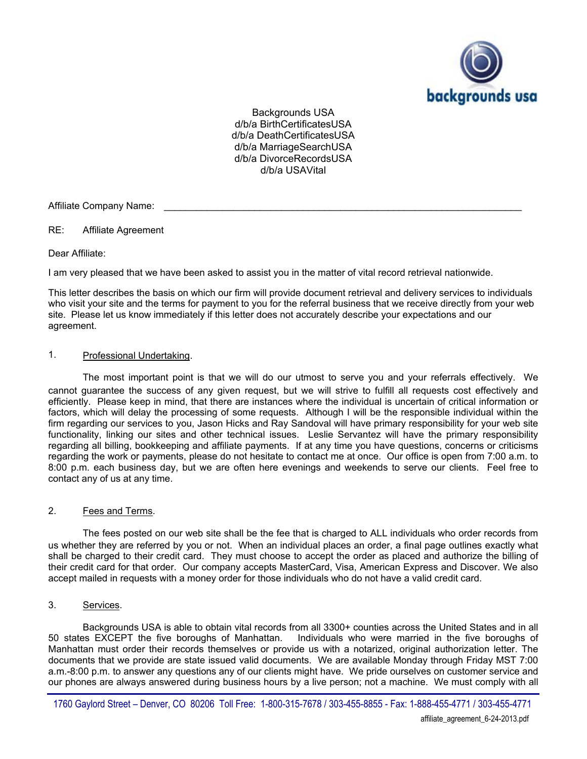

Backgrounds USA d/b/a BirthCertificatesUSA d/b/a DeathCertificatesUSA d/b/a MarriageSearchUSA d/b/a DivorceRecordsUSA d/b/a USAVital

Affiliate Company Name:

RE: Affiliate Agreement

Dear Affiliate:

I am very pleased that we have been asked to assist you in the matter of vital record retrieval nationwide.

This letter describes the basis on which our firm will provide document retrieval and delivery services to individuals who visit your site and the terms for payment to you for the referral business that we receive directly from your web site. Please let us know immediately if this letter does not accurately describe your expectations and our agreement.

### 1. Professional Undertaking.

The most important point is that we will do our utmost to serve you and your referrals effectively. We cannot guarantee the success of any given request, but we will strive to fulfill all requests cost effectively and efficiently. Please keep in mind, that there are instances where the individual is uncertain of critical information or factors, which will delay the processing of some requests. Although I will be the responsible individual within the firm regarding our services to you, Jason Hicks and Ray Sandoval will have primary responsibility for your web site functionality, linking our sites and other technical issues. Leslie Servantez will have the primary responsibility regarding all billing, bookkeeping and affiliate payments. If at any time you have questions, concerns or criticisms regarding the work or payments, please do not hesitate to contact me at once. Our office is open from 7:00 a.m. to 8:00 p.m. each business day, but we are often here evenings and weekends to serve our clients. Feel free to contact any of us at any time.

# 2. Fees and Terms.

The fees posted on our web site shall be the fee that is charged to ALL individuals who order records from us whether they are referred by you or not. When an individual places an order, a final page outlines exactly what shall be charged to their credit card. They must choose to accept the order as placed and authorize the billing of their credit card for that order. Our company accepts MasterCard, Visa, American Express and Discover. We also accept mailed in requests with a money order for those individuals who do not have a valid credit card.

# 3. Services.

Backgrounds USA is able to obtain vital records from all 3300+ counties across the United States and in all 50 states EXCEPT the five boroughs of Manhattan. Individuals who were married in the five boroughs of Manhattan must order their records themselves or provide us with a notarized, original authorization letter. The documents that we provide are state issued valid documents. We are available Monday through Friday MST 7:00 a.m.-8:00 p.m. to answer any questions any of our clients might have. We pride ourselves on customer service and our phones are always answered during business hours by a live person; not a machine. We must comply with all

<sup>1760</sup> Gaylord Street – Denver, CO 80206 Toll Free: 1-800-315-7678 / 303-455-8855 - Fax: 1-888-455-4771 / 303-455-4771